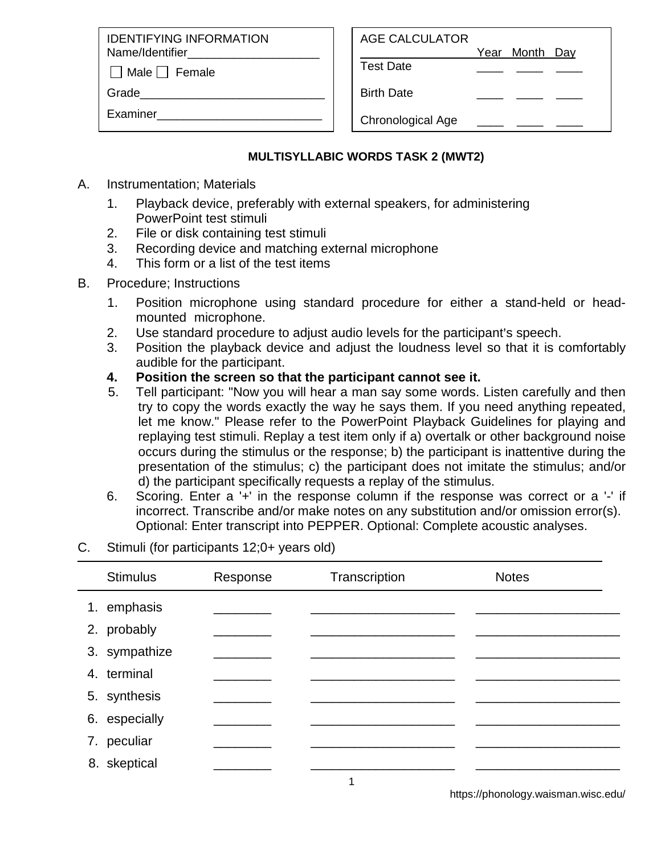IDENTIFYING INFORMATION Name/Identifier

 $\Box$  Male  $\Box$  Female

Grade

Examiner\_\_\_\_\_\_\_\_\_\_\_\_\_\_\_\_\_\_\_\_\_\_\_\_\_

| AGE CALCULATOR |                |  |
|----------------|----------------|--|
|                | Year Month Day |  |

Test Date \_\_\_\_ \_\_\_\_ \_\_\_\_

Birth Date

Chronological Age

## **MULTISYLLABIC WORDS TASK 2 (MWT2)**

- A. Instrumentation; Materials
	- 1. Playback device, preferably with external speakers, for administering PowerPoint test stimuli
	- 2. File or disk containing test stimuli
	- 3. Recording device and matching external microphone
	- 4. This form or a list of the test items
- B. Procedure; Instructions
	- 1. Position microphone using standard procedure for either a stand-held or headmounted microphone.
	- 2. Use standard procedure to adjust audio levels for the participant's speech.
	- 3. Position the playback device and adjust the loudness level so that it is comfortably audible for the participant.
	- **4. Position the screen so that the participant cannot see it.**
	- 5. Tell participant: "Now you will hear a man say some words. Listen carefully and then try to copy the words exactly the way he says them. If you need anything repeated, let me know." Please refer to the PowerPoint Playback Guidelines for playing and replaying test stimuli. Replay a test item only if a) overtalk or other background noise occurs during the stimulus or the response; b) the participant is inattentive during the presentation of the stimulus; c) the participant does not imitate the stimulus; and/or d) the participant specifically requests a replay of the stimulus.
	- 6. Scoring. Enter a '+' in the response column if the response was correct or a '-' if incorrect. Transcribe and/or make notes on any substitution and/or omission error(s). Optional: Enter transcript into PEPPER. Optional: Complete acoustic analyses.
- C. Stimuli (for participants 12;0+ years old)

| <b>Stimulus</b> | Response | Transcription | <b>Notes</b> |  |
|-----------------|----------|---------------|--------------|--|
| 1. emphasis     |          |               |              |  |
| 2. probably     |          |               |              |  |
| 3. sympathize   |          |               |              |  |
| 4. terminal     |          |               |              |  |
| 5. synthesis    |          |               |              |  |
| 6. especially   |          |               |              |  |
| 7. peculiar     |          |               |              |  |
| 8. skeptical    |          |               |              |  |
|                 |          |               |              |  |